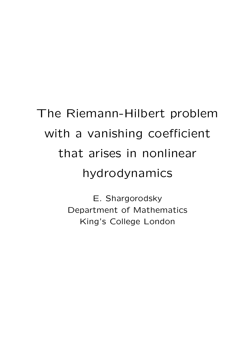## The Riemann-Hilbert problem with a vanishing coefficient that arises in nonlinear hydrodynamics

E. Shargorodsky Department of Mathematics King's College London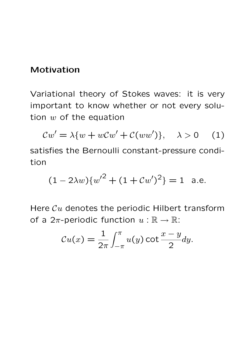## Motivation

Variational theory of Stokes waves: it is very important to know whether or not every solution  $w$  of the equation

$$
Cw' = \lambda \{ w + wCw' + C(ww') \}, \quad \lambda > 0 \quad (1)
$$

satisfies the Bernoulli constant-pressure condition

$$
(1 - 2\lambda w)\{w'^2 + (1 + Cw')^2\} = 1
$$
 a.e.

Here  $\mathcal{C}u$  denotes the periodic Hilbert transform of a  $2\pi$ -periodic function  $u : \mathbb{R} \to \mathbb{R}$ :

$$
\mathcal{C}u(x) = \frac{1}{2\pi} \int_{-\pi}^{\pi} u(y) \cot \frac{x-y}{2} dy.
$$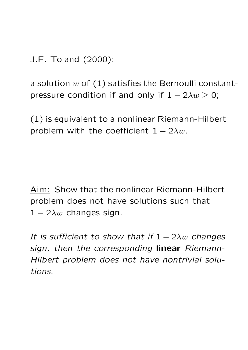J.F. Toland (2000):

a solution  $w$  of  $(1)$  satisfies the Bernoulli constantpressure condition if and only if  $1 - 2\lambda w \ge 0$ ;

(1) is equivalent to a nonlinear Riemann-Hilbert problem with the coefficient  $1 - 2\lambda w$ .

Aim: Show that the nonlinear Riemann-Hilbert problem does not have solutions such that  $1 - 2\lambda w$  changes sign.

It is sufficient to show that if  $1 - 2\lambda w$  changes sign, then the corresponding linear Riemann-Hilbert problem does not have nontrivial solutions.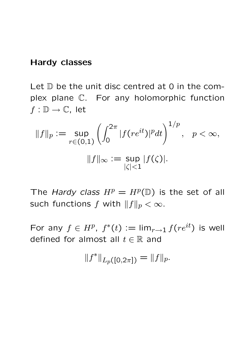## Hardy classes

Let  $D$  be the unit disc centred at 0 in the complex plane C. For any holomorphic function  $f: \mathbb{D} \to \mathbb{C}$ , let

$$
||f||_p := \sup_{r \in (0,1)} \left( \int_0^{2\pi} |f(re^{it})|^p dt \right)^{1/p}, \quad p < \infty,
$$
  

$$
||f||_{\infty} := \sup_{|\zeta| < 1} |f(\zeta)|.
$$

The Hardy class  $H^p = H^p(\mathbb{D})$  is the set of all such functions f with  $||f||_p < \infty$ .

For any  $f \in H^p$ ,  $f^*(t) := \lim_{r \to 1} f(re^{it})$  is well defined for almost all  $t \in \mathbb{R}$  and

 $||f^*||_{L_p([0,2\pi])} = ||f||_p.$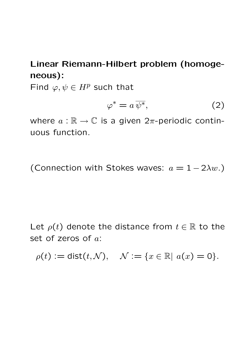Linear Riemann-Hilbert problem (homogeneous):

Find  $\varphi, \psi \in H^p$  such that

$$
\varphi^* = a \,\overline{\psi^*},\tag{2}
$$

where  $a : \mathbb{R} \to \mathbb{C}$  is a given  $2\pi$ -periodic continuous function.

(Connection with Stokes waves:  $a = 1 - 2\lambda w$ .)

Let  $\rho(t)$  denote the distance from  $t \in \mathbb{R}$  to the set of zeros of a:

 $\rho(t) := \text{dist}(t, \mathcal{N}), \quad \mathcal{N} := \{x \in \mathbb{R} \mid a(x) = 0\}.$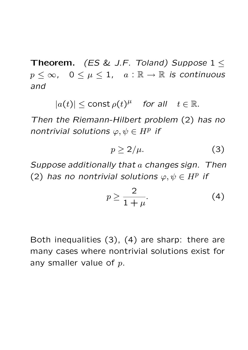Theorem. (ES & J.F. Toland) Suppose  $1 \leq$  $p \leq \infty$ ,  $0 \leq \mu \leq 1$ ,  $a : \mathbb{R} \to \mathbb{R}$  is continuous and

 $|a(t)| \leq \text{const }\rho(t)^{\mu}$  for all  $t \in \mathbb{R}$ .

Then the Riemann-Hilbert problem (2) has no nontrivial solutions  $\varphi, \psi \in H^p$  if

$$
p \ge 2/\mu. \tag{3}
$$

Suppose additionally that a changes sign. Then (2) has no nontrivial solutions  $\varphi, \psi \in H^p$  if

$$
p \ge \frac{2}{1+\mu}.\tag{4}
$$

Both inequalities (3), (4) are sharp: there are many cases where nontrivial solutions exist for any smaller value of  $p$ .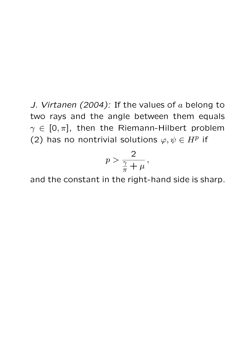J. Virtanen (2004): If the values of  $a$  belong to two rays and the angle between them equals  $\gamma \in [0, \pi]$ , then the Riemann-Hilbert problem (2) has no nontrivial solutions  $\varphi, \psi \in H^p$  if

$$
p > \frac{2}{\frac{\gamma}{\pi} + \mu},
$$

and the constant in the right-hand side is sharp.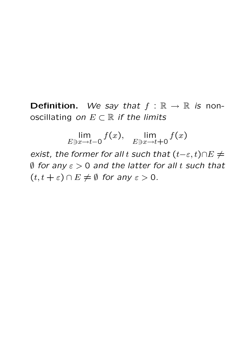**Definition.** We say that  $f : \mathbb{R} \to \mathbb{R}$  is nonoscillating on  $E \subset \mathbb{R}$  if the limits

> lim  $E\ni x \rightarrow t-0$  $f(x)$ , lim  $E \ni x \rightarrow t+0$  $f(x)$

exist, the former for all t such that  $(t-\varepsilon, t) \cap E \neq 0$  $\emptyset$  for any  $\varepsilon > 0$  and the latter for all t such that  $(t, t + \varepsilon) \cap E \neq \emptyset$  for any  $\varepsilon > 0$ .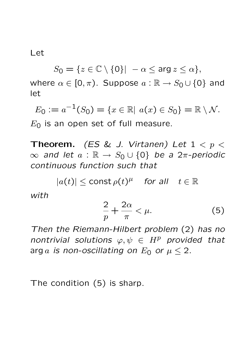Let

 $S_0 = \{z \in \mathbb{C} \setminus \{0\} | -\alpha \leq \arg z \leq \alpha\},\$ 

where  $\alpha \in [0, \pi)$ . Suppose  $a : \mathbb{R} \to S_0 \cup \{0\}$  and let

 $E_0 := a^{-1}(S_0) = \{x \in \mathbb{R} \mid a(x) \in S_0\} = \mathbb{R} \setminus \mathcal{N}.$  $E_0$  is an open set of full measure.

**Theorem.** (ES & J. Virtanen) Let  $1 < p <$  $\infty$  and let  $a : \mathbb{R} \to S_0 \cup \{0\}$  be a 2π-periodic continuous function such that

 $|a(t)| \leq$  const  $\rho(t)^{\mu}$  for all  $t \in \mathbb{R}$ 

with

$$
\frac{2}{p} + \frac{2\alpha}{\pi} < \mu. \tag{5}
$$

Then the Riemann-Hilbert problem (2) has no nontrivial solutions  $\varphi, \psi \in H^p$  provided that arg a is non-oscillating on  $E_0$  or  $\mu \leq 2$ .

The condition (5) is sharp.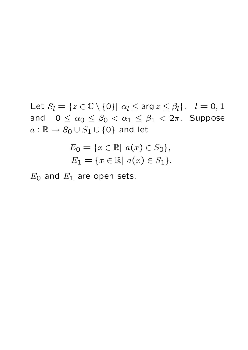Let  $S_l = \{z \in \mathbb{C} \setminus \{0\} | \alpha_l \le \arg z \le \beta_l \}, \quad l = 0, 1$ and  $0 \leq \alpha_0 \leq \beta_0 < \alpha_1 \leq \beta_1 < 2\pi$ . Suppose  $a : \mathbb{R} \to S_0 \cup S_1 \cup \{0\}$  and let

$$
E_0 = \{x \in \mathbb{R} | \ a(x) \in S_0\},
$$
  

$$
E_1 = \{x \in \mathbb{R} | \ a(x) \in S_1\}.
$$

 $E_0$  and  $E_1$  are open sets.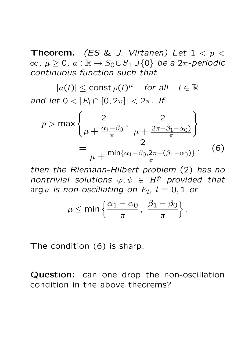**Theorem.** (ES & J. Virtanen) Let  $1 < p <$  $\infty$ ,  $\mu > 0$ ,  $\alpha : \mathbb{R} \to S_0 \cup S_1 \cup \{0\}$  be a  $2\pi$ -periodic continuous function such that

 $|a(t)| \leq$  const  $\rho(t)^{\mu}$  for all  $t \in \mathbb{R}$ and let  $0 < |E_l \cap [0, 2\pi]| < 2\pi$ . If

$$
p > \max\left\{\frac{2}{\mu + \frac{\alpha_1 - \beta_0}{\pi}}, \frac{2}{\mu + \frac{2\pi - \beta_1 - \alpha_0}{\pi}}\right\}
$$

$$
= \frac{2}{\mu + \frac{\min\{\alpha_1 - \beta_0, 2\pi - (\beta_1 - \alpha_0)\}}{\pi}}, \quad (6)
$$

then the Riemann-Hilbert problem (2) has no nontrivial solutions  $\varphi, \psi \in H^p$  provided that arg  $a$  is non-oscillating on  $E_l$ ,  $l=0,1$  or

$$
\mu \le \min \left\{ \frac{\alpha_1 - \alpha_0}{\pi}, \ \frac{\beta_1 - \beta_0}{\pi} \right\}.
$$

The condition (6) is sharp.

Question: can one drop the non-oscillation condition in the above theorems?